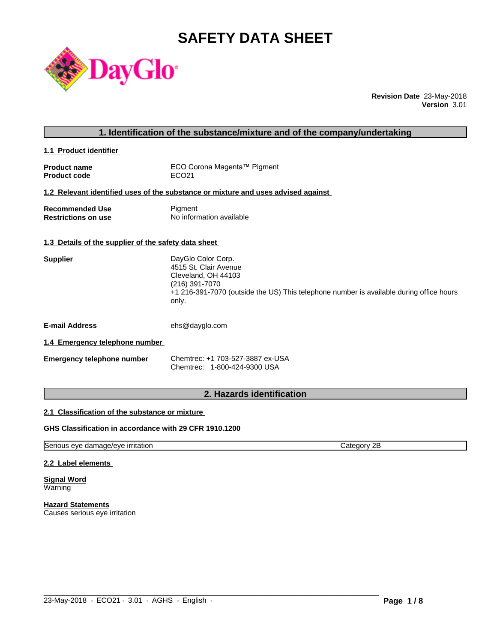# **SAFETY DATA SHEET**



**Revision Date** 23-May-2018 **Version** 3.01

| 1. Identification of the substance/mixture and of the company/undertaking |                                                                                                                                                                                          |  |
|---------------------------------------------------------------------------|------------------------------------------------------------------------------------------------------------------------------------------------------------------------------------------|--|
| 1.1 Product identifier                                                    |                                                                                                                                                                                          |  |
| <b>Product name</b><br><b>Product code</b>                                | ECO Corona Magenta™ Pigment<br>ECO <sub>21</sub>                                                                                                                                         |  |
|                                                                           | 1.2 Relevant identified uses of the substance or mixture and uses advised against                                                                                                        |  |
| <b>Recommended Use</b><br><b>Restrictions on use</b>                      | Pigment<br>No information available                                                                                                                                                      |  |
| 1.3 Details of the supplier of the safety data sheet                      |                                                                                                                                                                                          |  |
| <b>Supplier</b>                                                           | DayGlo Color Corp.<br>4515 St. Clair Avenue<br>Cleveland, OH 44103<br>(216) 391-7070<br>+1 216-391-7070 (outside the US) This telephone number is available during office hours<br>only. |  |
| <b>E-mail Address</b>                                                     | ehs@dayglo.com                                                                                                                                                                           |  |
| 1.4 Emergency telephone number                                            |                                                                                                                                                                                          |  |
| <b>Emergency telephone number</b>                                         | Chemtrec: +1 703-527-3887 ex-USA<br>Chemtrec: 1-800-424-9300 USA                                                                                                                         |  |
|                                                                           |                                                                                                                                                                                          |  |

# **2. Hazards identification**

# **2.1 Classification of the substance or mixture**

# **GHS Classification in accordance with 29 CFR 1910.1200**

Serious eye damage/eye irritation contract the contract of Category 2B

 $\_$  ,  $\_$  ,  $\_$  ,  $\_$  ,  $\_$  ,  $\_$  ,  $\_$  ,  $\_$  ,  $\_$  ,  $\_$  ,  $\_$  ,  $\_$  ,  $\_$  ,  $\_$  ,  $\_$  ,  $\_$  ,  $\_$  ,  $\_$  ,  $\_$  ,  $\_$  ,  $\_$  ,  $\_$  ,  $\_$  ,  $\_$  ,  $\_$  ,  $\_$  ,  $\_$  ,  $\_$  ,  $\_$  ,  $\_$  ,  $\_$  ,  $\_$  ,  $\_$  ,  $\_$  ,  $\_$  ,  $\_$  ,  $\_$  ,

#### **2.2 Label elements**

**Signal Word** Warning

**Hazard Statements** Causes serious eye irritation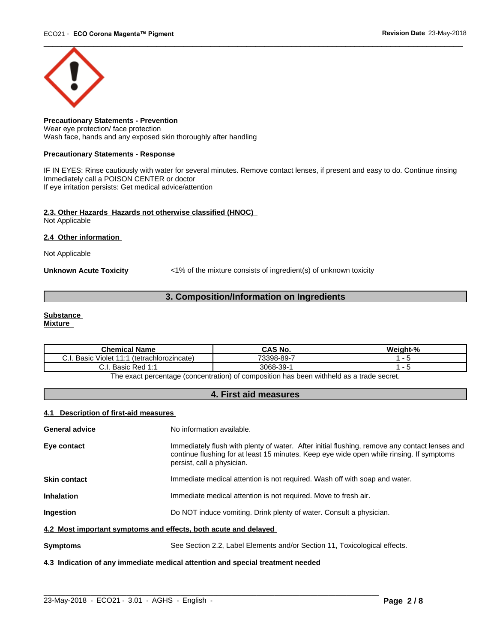

**Precautionary Statements - Prevention** Wear eye protection/ face protection Wash face, hands and any exposed skin thoroughly after handling

#### **Precautionary Statements - Response**

IF IN EYES: Rinse cautiously with water for several minutes. Remove contact lenses, if present and easy to do. Continue rinsing Immediately call a POISON CENTER or doctor If eye irritation persists: Get medical advice/attention

# **2.3. Other Hazards Hazards not otherwise classified (HNOC)**

Not Applicable

**2.4 Other information** 

Not Applicable

**Unknown Acute Toxicity** <1% of the mixture consists of ingredient(s) of unknown toxicity

# **3. Composition/Information on Ingredients**

#### **Substance**

**Mixture**

| <b>Chemical Name</b>                                  | <b>CAS No.</b> | .<br>$\mathbf{a}$<br>Maiaht |
|-------------------------------------------------------|----------------|-----------------------------|
| Basic<br>(tetrachlorozincate)<br>.<br>J Violet ″<br>. | 73398-89-      |                             |
| Basic Red<br><b>A.</b><br>. .<br>◡.                   | 3068-39-       |                             |

The exact percentage (concentration) of composition has been withheld as a trade secret.

# **4. First aid measures**

#### **4.1 Description of first-aid measures**

| <b>General advice</b>                                           | No information available.                                                                                                                                                                                               |
|-----------------------------------------------------------------|-------------------------------------------------------------------------------------------------------------------------------------------------------------------------------------------------------------------------|
| Eye contact                                                     | Immediately flush with plenty of water. After initial flushing, remove any contact lenses and<br>continue flushing for at least 15 minutes. Keep eye wide open while rinsing. If symptoms<br>persist, call a physician. |
| <b>Skin contact</b>                                             | Immediate medical attention is not required. Wash off with soap and water.                                                                                                                                              |
| <b>Inhalation</b>                                               | Immediate medical attention is not required. Move to fresh air.                                                                                                                                                         |
| <b>Ingestion</b>                                                | Do NOT induce vomiting. Drink plenty of water. Consult a physician.                                                                                                                                                     |
| 4.2 Most important symptoms and effects, both acute and delayed |                                                                                                                                                                                                                         |
| <b>Symptoms</b>                                                 | See Section 2.2, Label Elements and/or Section 11, Toxicological effects.                                                                                                                                               |
|                                                                 | 4.3 Indication of any immediate medical attention and special treatment needed                                                                                                                                          |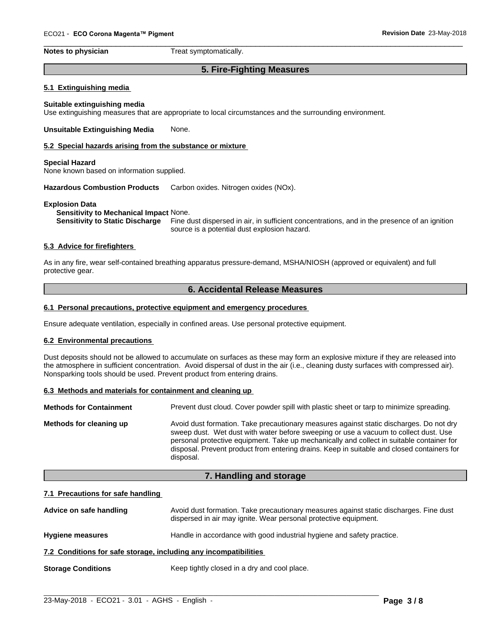**Notes to physician** Treat symptomatically.

# **5. Fire-Fighting Measures**

 $\overline{\phantom{a}}$  ,  $\overline{\phantom{a}}$  ,  $\overline{\phantom{a}}$  ,  $\overline{\phantom{a}}$  ,  $\overline{\phantom{a}}$  ,  $\overline{\phantom{a}}$  ,  $\overline{\phantom{a}}$  ,  $\overline{\phantom{a}}$  ,  $\overline{\phantom{a}}$  ,  $\overline{\phantom{a}}$  ,  $\overline{\phantom{a}}$  ,  $\overline{\phantom{a}}$  ,  $\overline{\phantom{a}}$  ,  $\overline{\phantom{a}}$  ,  $\overline{\phantom{a}}$  ,  $\overline{\phantom{a}}$ 

#### **5.1 Extinguishing media**

**Suitable extinguishing media** Use extinguishing measures that are appropriate to local circumstances and the surrounding environment.

#### **Unsuitable Extinguishing Media** None.

#### **5.2 Special hazards arising from the substance or mixture**

#### **Special Hazard**

None known based on information supplied.

**Hazardous Combustion Products** Carbon oxides. Nitrogen oxides (NOx).

#### **Explosion Data**

#### **Sensitivity to Mechanical Impact** None.

**Sensitivity to Static Discharge** Fine dust dispersed in air, in sufficient concentrations, and in the presence of an ignition source is a potential dust explosion hazard.

#### **5.3 Advice for firefighters**

As in any fire, wear self-contained breathing apparatus pressure-demand, MSHA/NIOSH (approved or equivalent) and full protective gear.

#### **6. Accidental Release Measures**

#### **6.1 Personal precautions, protective equipment and emergency procedures**

Ensure adequate ventilation, especially in confined areas. Use personal protective equipment.

#### **6.2 Environmental precautions**

Dust deposits should not be allowed to accumulate on surfaces as these may form an explosive mixture if they are released into the atmosphere in sufficient concentration. Avoid dispersal of dust in the air (i.e., cleaning dusty surfaces with compressed air). Nonsparking tools should be used. Prevent product from entering drains.

#### **6.3 Methods and materials for containment and cleaning up**

**Methods for Containment** Prevent dust cloud. Cover powder spill with plastic sheet or tarp to minimize spreading.

**Methods for cleaning up** Avoid dust formation. Take precautionary measures against static discharges. Do not dry sweep dust. Wet dust with water before sweeping or use a vacuum to collect dust. Use personal protective equipment. Take up mechanically and collect in suitable container for disposal. Prevent product from entering drains. Keep in suitable and closed containers for disposal.

### **7. Handling and storage**

#### **7.1 Precautions for safe handling**

| Advice on safe handling                                          | Avoid dust formation. Take precautionary measures against static discharges. Fine dust<br>dispersed in air may ignite. Wear personal protective equipment. |
|------------------------------------------------------------------|------------------------------------------------------------------------------------------------------------------------------------------------------------|
| <b>Hygiene measures</b>                                          | Handle in accordance with good industrial hygiene and safety practice.                                                                                     |
| 7.2 Conditions for safe storage, including any incompatibilities |                                                                                                                                                            |
| <b>Storage Conditions</b>                                        | Keep tightly closed in a dry and cool place.                                                                                                               |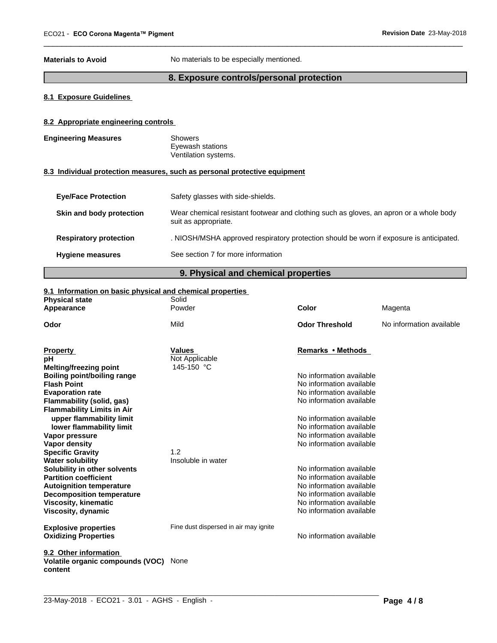**Materials to Avoid** No materials to be especially mentioned.

# **8. Exposure controls/personal protection**

 $\overline{\phantom{a}}$  ,  $\overline{\phantom{a}}$  ,  $\overline{\phantom{a}}$  ,  $\overline{\phantom{a}}$  ,  $\overline{\phantom{a}}$  ,  $\overline{\phantom{a}}$  ,  $\overline{\phantom{a}}$  ,  $\overline{\phantom{a}}$  ,  $\overline{\phantom{a}}$  ,  $\overline{\phantom{a}}$  ,  $\overline{\phantom{a}}$  ,  $\overline{\phantom{a}}$  ,  $\overline{\phantom{a}}$  ,  $\overline{\phantom{a}}$  ,  $\overline{\phantom{a}}$  ,  $\overline{\phantom{a}}$ 

# **8.1 Exposure Guidelines**

### **8.2 Appropriate engineering controls**

| <b>Engineering Measures</b> | <b>Showers</b><br>Eyewash stations<br>Ventilation systems.                                                     |
|-----------------------------|----------------------------------------------------------------------------------------------------------------|
|                             | 8.3 Individual protection measures, such as personal protective equipment                                      |
| <b>Eve/Face Protection</b>  | Safety glasses with side-shields.                                                                              |
| Skin and body protection    | Wear chemical resistant footwear and clothing such as gloves, an apron or a whole body<br>suit as appropriate. |

**Respiratory protection** . NIOSH/MSHA approved respiratory protection should be worn if exposure is anticipated.

| <b>Hygiene measures</b> | See section 7 for more information |  |
|-------------------------|------------------------------------|--|
|                         |                                    |  |

# **9. Physical and chemical properties**

#### **9.1 Information on basic physical and chemical properties**

| <b>Physical state</b>                                          | Solid                                 |                          |                          |
|----------------------------------------------------------------|---------------------------------------|--------------------------|--------------------------|
| Appearance                                                     | Powder                                | Color                    | Magenta                  |
| Odor                                                           | Mild                                  | <b>Odor Threshold</b>    | No information available |
| <b>Property</b>                                                | <b>Values</b>                         | Remarks • Methods        |                          |
| pН<br>Melting/freezing point                                   | Not Applicable<br>145-150 °C          |                          |                          |
| <b>Boiling point/boiling range</b>                             |                                       | No information available |                          |
| <b>Flash Point</b>                                             |                                       | No information available |                          |
| <b>Evaporation rate</b>                                        |                                       | No information available |                          |
| Flammability (solid, gas)<br><b>Flammability Limits in Air</b> |                                       | No information available |                          |
| upper flammability limit                                       |                                       | No information available |                          |
| lower flammability limit                                       |                                       | No information available |                          |
| Vapor pressure                                                 |                                       | No information available |                          |
| Vapor density                                                  |                                       | No information available |                          |
| <b>Specific Gravity</b>                                        | 1.2                                   |                          |                          |
| <b>Water solubility</b>                                        | Insoluble in water                    |                          |                          |
| Solubility in other solvents                                   |                                       | No information available |                          |
| <b>Partition coefficient</b>                                   |                                       | No information available |                          |
| <b>Autoignition temperature</b>                                |                                       | No information available |                          |
| <b>Decomposition temperature</b>                               |                                       | No information available |                          |
| <b>Viscosity, kinematic</b>                                    |                                       | No information available |                          |
| Viscosity, dynamic                                             |                                       | No information available |                          |
| <b>Explosive properties</b>                                    | Fine dust dispersed in air may ignite |                          |                          |
| <b>Oxidizing Properties</b>                                    |                                       | No information available |                          |
| 9.2 Other information                                          |                                       |                          |                          |
| Volatile organic compounds (VOC)<br>content                    | None                                  |                          |                          |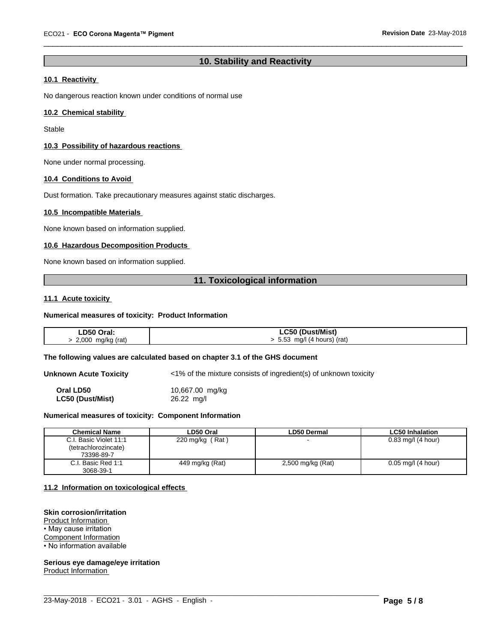# **10. Stability and Reactivity**

 $\overline{\phantom{a}}$  ,  $\overline{\phantom{a}}$  ,  $\overline{\phantom{a}}$  ,  $\overline{\phantom{a}}$  ,  $\overline{\phantom{a}}$  ,  $\overline{\phantom{a}}$  ,  $\overline{\phantom{a}}$  ,  $\overline{\phantom{a}}$  ,  $\overline{\phantom{a}}$  ,  $\overline{\phantom{a}}$  ,  $\overline{\phantom{a}}$  ,  $\overline{\phantom{a}}$  ,  $\overline{\phantom{a}}$  ,  $\overline{\phantom{a}}$  ,  $\overline{\phantom{a}}$  ,  $\overline{\phantom{a}}$ 

# **10.1 Reactivity**

No dangerous reaction known under conditions of normal use

#### **10.2 Chemical stability**

Stable

#### **10.3 Possibility of hazardous reactions**

None under normal processing.

#### **10.4 Conditions to Avoid**

Dust formation. Take precautionary measures against static discharges.

#### **10.5 Incompatible Materials**

None known based on information supplied.

#### **10.6 Hazardous Decomposition Products**

None known based on information supplied.

### **11. Toxicological information**

#### **11.1 Acute toxicity**

#### **Numerical measures of toxicity: Product Information**

| LD50 Oral:        | LC50 (Dust/Mist)              |
|-------------------|-------------------------------|
| 2,000 mg/kg (rat) | $> 5.53$ mg/l (4 hours) (rat) |

#### **The following values are calculated based on chapter 3.1 of the GHS document**

**Unknown Acute Toxicity** <1% of the mixture consists of ingredient(s) of unknown toxicity **Oral LD50** 10,667.00 mg/kg

**LC50 (Dust/Mist)** 26.22 mg/l

### **Numerical measures of toxicity: Component Information**

| <b>Chemical Name</b>         | LD50 Oral                    | <b>LD50 Dermal</b> | <b>LC50 Inhalation</b> |
|------------------------------|------------------------------|--------------------|------------------------|
| I. Basic Violet 11:1<br>C.I. | (Rat)<br>$220 \text{ mg/kg}$ |                    | $0.83$ mg/l (4 hour)   |
| (tetrachlorozincate)         |                              |                    |                        |
| 73398-89-7                   |                              |                    |                        |
| I. Basic Red 1:1<br>C.I.     | 449 mg/kg (Rat)              | 2,500 mg/kg (Rat)  | $0.05$ mg/l (4 hour)   |
| 3068-39-1                    |                              |                    |                        |

 $\_$  ,  $\_$  ,  $\_$  ,  $\_$  ,  $\_$  ,  $\_$  ,  $\_$  ,  $\_$  ,  $\_$  ,  $\_$  ,  $\_$  ,  $\_$  ,  $\_$  ,  $\_$  ,  $\_$  ,  $\_$  ,  $\_$  ,  $\_$  ,  $\_$  ,  $\_$  ,  $\_$  ,  $\_$  ,  $\_$  ,  $\_$  ,  $\_$  ,  $\_$  ,  $\_$  ,  $\_$  ,  $\_$  ,  $\_$  ,  $\_$  ,  $\_$  ,  $\_$  ,  $\_$  ,  $\_$  ,  $\_$  ,  $\_$  ,

#### **11.2 Information on toxicologicaleffects**

#### **Skin corrosion/irritation**

Product Information • May cause irritation

Component Information

• No information available

# **Serious eye damage/eye irritation**

Product Information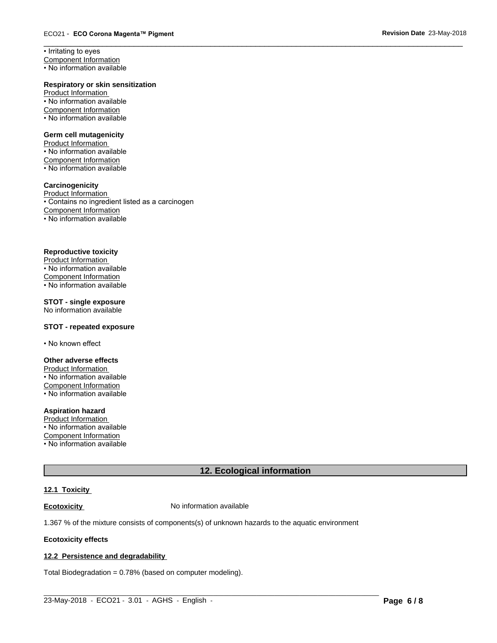• Irritating to eyes Component Information

• No information available

#### **Respiratory or skin sensitization**

Product Information • No information available Component Information • No information available

#### **Germ cell mutagenicity**

Product Information • No information available Component Information • No information available

#### **Carcinogenicity**

Product Information • Contains no ingredient listed as a carcinogen Component Information • No information available

#### **Reproductive toxicity**

Product Information  $\overline{\cdot}$  No information available Component Information • No information available

### **STOT - single exposure**

No information available

### **STOT - repeated exposure**

• No known effect

#### **Other adverse effects**

Product Information • No information available Component Information • No information available

#### **Aspiration hazard**

Product Information • No information available Component Information • No information available

# **12. Ecological information**

 $\_$  ,  $\_$  ,  $\_$  ,  $\_$  ,  $\_$  ,  $\_$  ,  $\_$  ,  $\_$  ,  $\_$  ,  $\_$  ,  $\_$  ,  $\_$  ,  $\_$  ,  $\_$  ,  $\_$  ,  $\_$  ,  $\_$  ,  $\_$  ,  $\_$  ,  $\_$  ,  $\_$  ,  $\_$  ,  $\_$  ,  $\_$  ,  $\_$  ,  $\_$  ,  $\_$  ,  $\_$  ,  $\_$  ,  $\_$  ,  $\_$  ,  $\_$  ,  $\_$  ,  $\_$  ,  $\_$  ,  $\_$  ,  $\_$  ,

 $\overline{\phantom{a}}$  ,  $\overline{\phantom{a}}$  ,  $\overline{\phantom{a}}$  ,  $\overline{\phantom{a}}$  ,  $\overline{\phantom{a}}$  ,  $\overline{\phantom{a}}$  ,  $\overline{\phantom{a}}$  ,  $\overline{\phantom{a}}$  ,  $\overline{\phantom{a}}$  ,  $\overline{\phantom{a}}$  ,  $\overline{\phantom{a}}$  ,  $\overline{\phantom{a}}$  ,  $\overline{\phantom{a}}$  ,  $\overline{\phantom{a}}$  ,  $\overline{\phantom{a}}$  ,  $\overline{\phantom{a}}$ 

# **12.1 Toxicity**

**Ecotoxicity No information available** 

1.367 % of the mixture consists of components(s) of unknown hazards to the aquatic environment

#### **Ecotoxicity effects**

#### **12.2 Persistence and degradability**

Total Biodegradation = 0.78% (based on computer modeling).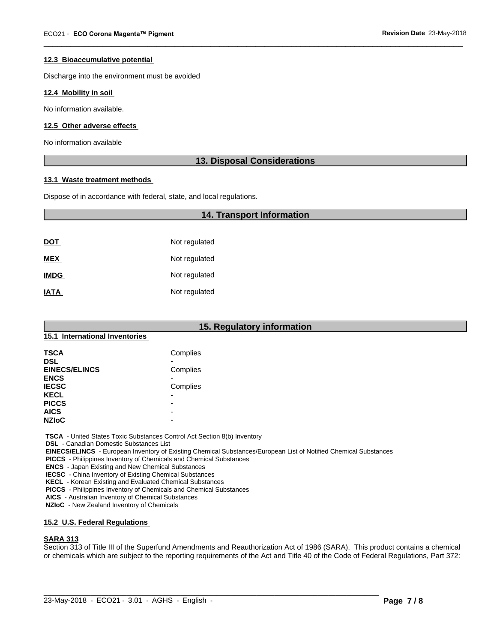#### **12.3 Bioaccumulative potential**

Discharge into the environment must be avoided

#### **12.4 Mobility in soil**

No information available.

#### **12.5 Other adverse effects**

No information available

### **13. Disposal Considerations**

 $\overline{\phantom{a}}$  ,  $\overline{\phantom{a}}$  ,  $\overline{\phantom{a}}$  ,  $\overline{\phantom{a}}$  ,  $\overline{\phantom{a}}$  ,  $\overline{\phantom{a}}$  ,  $\overline{\phantom{a}}$  ,  $\overline{\phantom{a}}$  ,  $\overline{\phantom{a}}$  ,  $\overline{\phantom{a}}$  ,  $\overline{\phantom{a}}$  ,  $\overline{\phantom{a}}$  ,  $\overline{\phantom{a}}$  ,  $\overline{\phantom{a}}$  ,  $\overline{\phantom{a}}$  ,  $\overline{\phantom{a}}$ 

#### **13.1 Waste treatment methods**

Dispose of in accordance with federal, state, and local regulations.

|             | <b>14. Transport Information</b> |  |
|-------------|----------------------------------|--|
|             |                                  |  |
| <u>DOT</u>  | Not regulated                    |  |
| <b>MEX</b>  | Not regulated                    |  |
| <b>IMDG</b> | Not regulated                    |  |
| <b>IATA</b> | Not regulated                    |  |

# **15. Regulatory information**

#### **15.1 International Inventories**

| <b>TSCA</b>          | Complies                 |  |
|----------------------|--------------------------|--|
| <b>DSL</b>           |                          |  |
| <b>EINECS/ELINCS</b> | Complies                 |  |
| <b>ENCS</b>          |                          |  |
| <b>IECSC</b>         | Complies                 |  |
| <b>KECL</b>          | $\overline{\phantom{0}}$ |  |
| <b>PICCS</b>         | -                        |  |
| <b>AICS</b>          | -                        |  |
| <b>NZIoC</b>         | -                        |  |

 **TSCA** - United States Toxic Substances Control Act Section 8(b) Inventory

 **DSL** - Canadian Domestic Substances List

 **EINECS/ELINCS** - European Inventory of Existing Chemical Substances/European List of Notified Chemical Substances

 **PICCS** - Philippines Inventory of Chemicals and Chemical Substances

 **ENCS** - Japan Existing and New Chemical Substances

 **IECSC** - China Inventory of Existing Chemical Substances

 **KECL** - Korean Existing and Evaluated Chemical Substances

 **PICCS** - Philippines Inventory of Chemicals and Chemical Substances

 **AICS** - Australian Inventory of Chemical Substances

 **NZIoC** - New Zealand Inventory of Chemicals

#### **15.2 U.S. Federal Regulations**

#### **SARA 313**

Section 313 of Title III of the Superfund Amendments and Reauthorization Act of 1986 (SARA). This product contains a chemical or chemicals which are subject to the reporting requirements of the Act and Title 40 of the Code of Federal Regulations, Part 372: